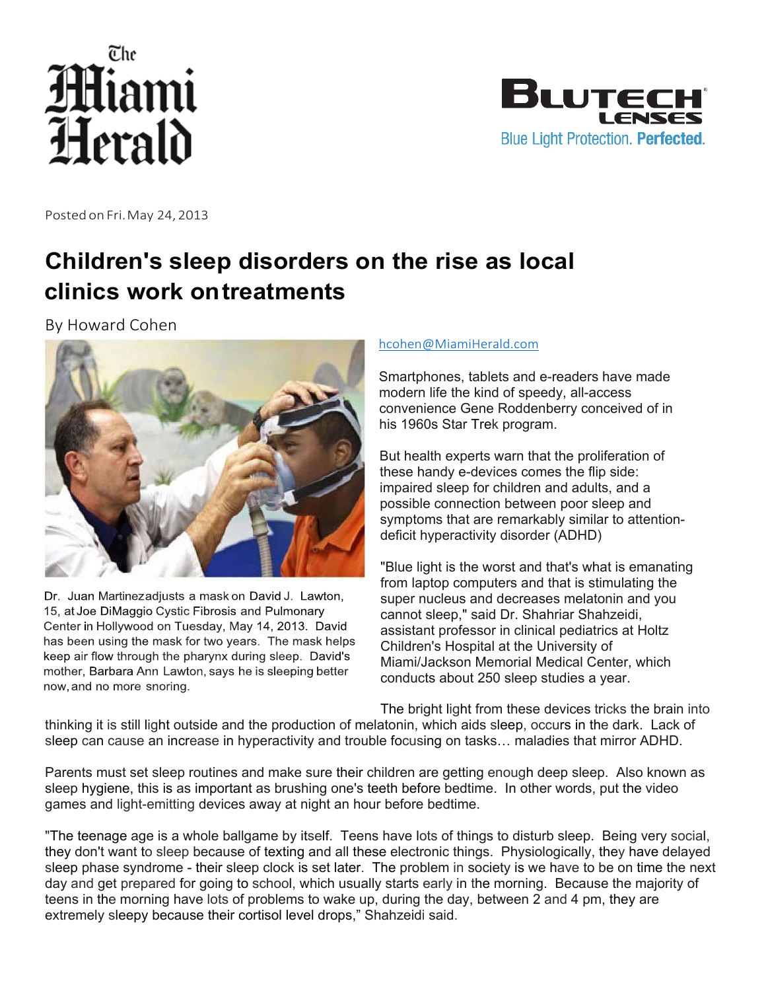



Posted on Fri.May 24, 2013

## **Children's sleep disorders on the rise as local clinics work on treatments**

By Howard Cohen



Dr. Juan Martinezadjusts a mask on David J. Lawton, 15, at Joe DiMaggio Cystic Fibrosis and Pulmonary Center in Hollywood on Tuesday, May 14, 2013. David has been using the mask for two years. The mask helps keep air flow through the pharynx during sleep. David's mother, Barbara Ann Lawton, says he is sleeping better now, and no more snoring.

## hcohen@MiamiHerald.com

Smartphones, tablets and e-readers have made modern life the kind of speedy, all-access convenience Gene Roddenberry conceived of in his 1960s Star Trek program.

But health experts warn that the proliferation of these handy e-devices comes the flip side: impaired sleep for children and adults, and a possible connection between poor sleep and symptoms that are remarkably similar to attentiondeficit hyperactivity disorder (ADHD)

"Blue light is the worst and that's what is emanating from laptop computers and that is stimulating the super nucleus and decreases melatonin and you cannot sleep," said Dr. Shahriar Shahzeidi, assistant professor in clinical pediatrics at Holtz Children's Hospital at the University of Miami/Jackson Memorial Medical Center, which conducts about 250 sleep studies a year.

The bright light from these devices tricks the brain into

thinking it is still light outside and the production of melatonin, which aids sleep, occurs in the dark. Lack of sleep can cause an increase in hyperactivity and trouble focusing on tasks… maladies that mirror ADHD.

Parents must set sleep routines and make sure their children are getting enough deep sleep. Also known as sleep hygiene, this is as important as brushing one's teeth before bedtime. In other words, put the video games and light-emitting devices away at night an hour before bedtime.

"The teenage age is a whole ballgame by itself. Teens have lots of things to disturb sleep. Being very social, they don't want to sleep because of texting and all these electronic things. Physiologically, they have delayed sleep phase syndrome - their sleep clock is set later. The problem in society is we have to be on time the next day and get prepared for going to school, which usually starts early in the morning. Because the majority of teens in the morning have lots of problems to wake up, during the day, between 2 and 4 pm, they are extremely sleepy because their cortisol level drops," Shahzeidi said.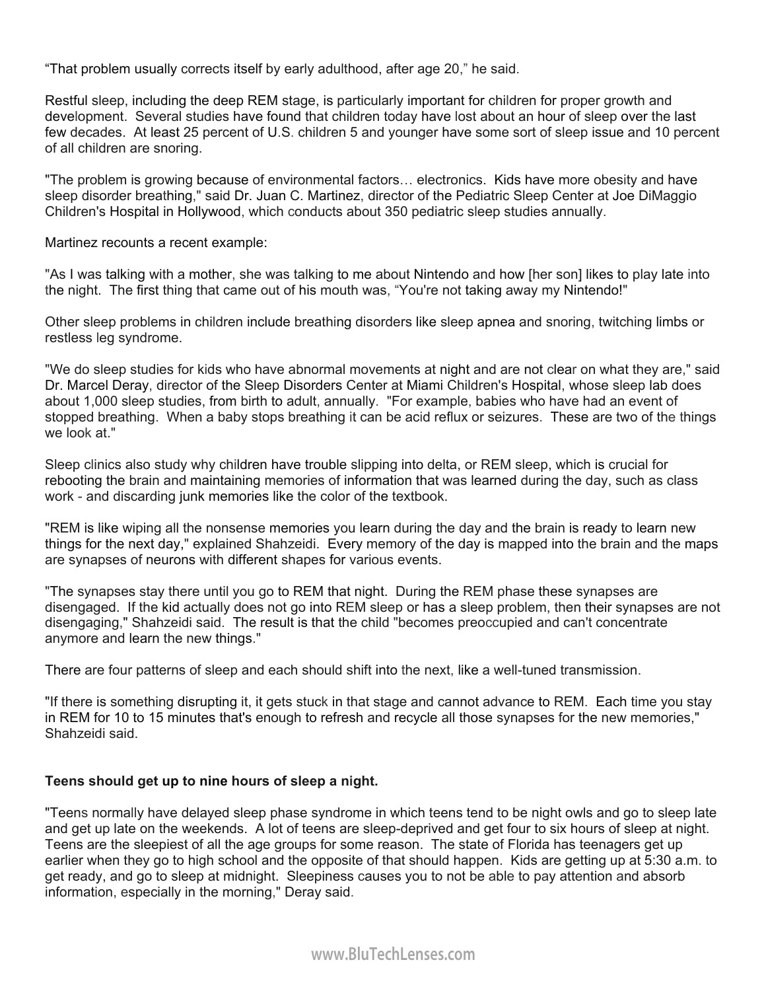"That problem usually corrects itself by early adulthood, after age 20," he said.

Restful sleep, including the deep REM stage, is particularly important for children for proper growth and development. Several studies have found that children today have lost about an hour of sleep over the last few decades. At least 25 percent of U.S. children 5 and younger have some sort of sleep issue and 10 percent of all children are snoring.

"The problem is growing because of environmental factors… electronics. Kids have more obesity and have sleep disorder breathing," said Dr. Juan C. Martinez, director of the Pediatric Sleep Center at Joe DiMaggio Children's Hospital in Hollywood, which conducts about 350 pediatric sleep studies annually.

Martinez recounts a recent example:

"As I was talking with a mother, she was talking to me about Nintendo and how [her son] likes to play late into the night. The first thing that came out of his mouth was, "You're not taking away my Nintendo!"

Other sleep problems in children include breathing disorders like sleep apnea and snoring, twitching limbs or restless leg syndrome.

"We do sleep studies for kids who have abnormal movements at night and are not clear on what they are," said Dr. Marcel Deray, director of the Sleep Disorders Center at Miami Children's Hospital, whose sleep lab does about 1,000 sleep studies, from birth to adult, annually. "For example, babies who have had an event of stopped breathing. When a baby stops breathing it can be acid reflux or seizures. These are two of the things we look at."

Sleep clinics also study why children have trouble slipping into delta, or REM sleep, which is crucial for rebooting the brain and maintaining memories of information that was learned during the day, such as class work - and discarding junk memories like the color of the textbook.

"REM is like wiping all the nonsense memories you learn during the day and the brain is ready to learn new things for the next day," explained Shahzeidi. Every memory of the day is mapped into the brain and the maps are synapses of neurons with different shapes for various events.

"The synapses stay there until you go to REM that night. During the REM phase these synapses are disengaged. If the kid actually does not go into REM sleep or has a sleep problem, then their synapses are not disengaging," Shahzeidi said. The result is that the child "becomes preoccupied and can't concentrate anymore and learn the new things."

There are four patterns of sleep and each should shift into the next, like a well-tuned transmission.

"If there is something disrupting it, it gets stuck in that stage and cannot advance to REM. Each time you stay in REM for 10 to 15 minutes that's enough to refresh and recycle all those synapses for the new memories," Shahzeidi said.

## **Teens should get up to nine hours of sleep a night.**

"Teens normally have delayed sleep phase syndrome in which teens tend to be night owls and go to sleep late and get up late on the weekends. A lot of teens are sleep-deprived and get four to six hours of sleep at night. Teens are the sleepiest of all the age groups for some reason. The state of Florida has teenagers get up earlier when they go to high school and the opposite of that should happen. Kids are getting up at 5:30 a.m. to get ready, and go to sleep at midnight. Sleepiness causes you to not be able to pay attention and absorb information, especially in the morning," Deray said.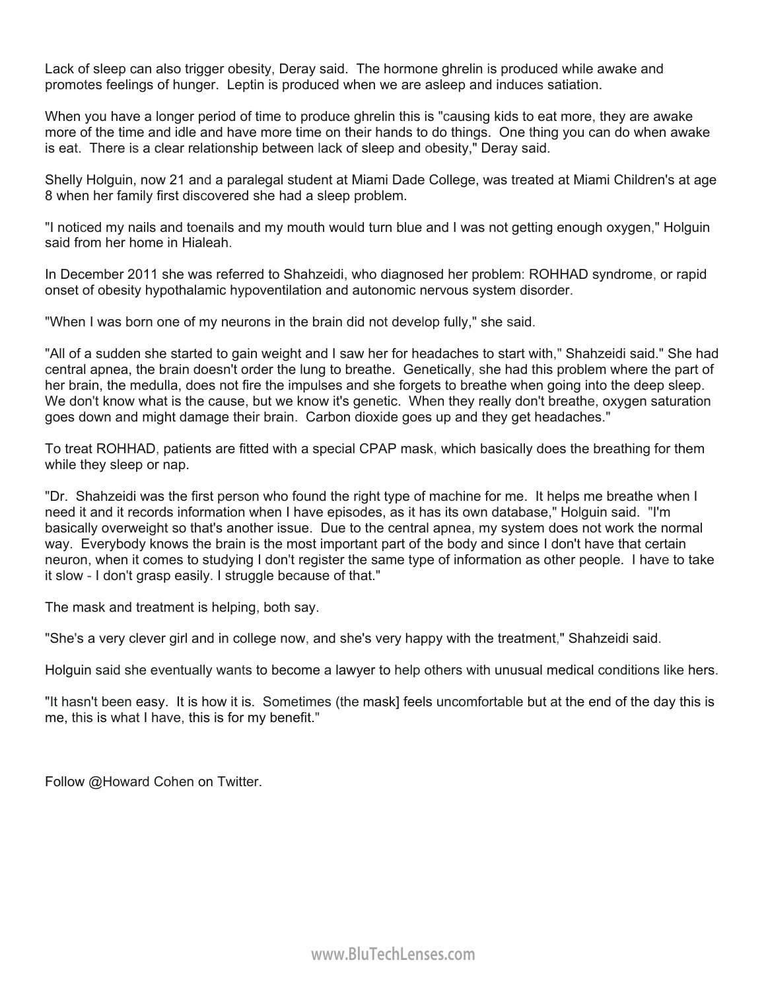Lack of sleep can also trigger obesity, Deray said. The hormone ghrelin is produced while awake and promotes feelings of hunger. Leptin is produced when we are asleep and induces satiation.

When you have a longer period of time to produce ghrelin this is "causing kids to eat more, they are awake more of the time and idle and have more time on their hands to do things. One thing you can do when awake is eat. There is a clear relationship between lack of sleep and obesity," Deray said.

Shelly Holguin, now 21 and a paralegal student at Miami Dade College, was treated at Miami Children's at age 8 when her family first discovered she had a sleep problem.

"I noticed my nails and toenails and my mouth would turn blue and I was not getting enough oxygen," Holguin said from her home in Hialeah.

In December 2011 she was referred to Shahzeidi, who diagnosed her problem: ROHHAD syndrome, or rapid onset of obesity hypothalamic hypoventilation and autonomic nervous system disorder.

"When I was born one of my neurons in the brain did not develop fully," she said.

"All of a sudden she started to gain weight and I saw her for headaches to start with," Shahzeidi said." She had central apnea, the brain doesn't order the lung to breathe. Genetically, she had this problem where the part of her brain, the medulla, does not fire the impulses and she forgets to breathe when going into the deep sleep. We don't know what is the cause, but we know it's genetic. When they really don't breathe, oxygen saturation goes down and might damage their brain. Carbon dioxide goes up and they get headaches."

To treat ROHHAD, patients are fitted with a special CPAP mask, which basically does the breathing for them while they sleep or nap.

"Dr. Shahzeidi was the first person who found the right type of machine for me. It helps me breathe when I need it and it records information when I have episodes, as it has its own database," Holguin said. "I'm basically overweight so that's another issue. Due to the central apnea, my system does not work the normal way. Everybody knows the brain is the most important part of the body and since I don't have that certain neuron, when it comes to studying I don't register the same type of information as other people. I have to take it slow - I don't grasp easily. I struggle because of that."

The mask and treatment is helping, both say.

"She's a very clever girl and in college now, and she's very happy with the treatment," Shahzeidi said.

Holguin said she eventually wants to become a lawyer to help others with unusual medical conditions like hers.

"It hasn't been easy. It is how it is. Sometimes (the mask] feels uncomfortable but at the end of the day this is me, this is what I have, this is for my benefit."

Follow @Howard Cohen on Twitter.